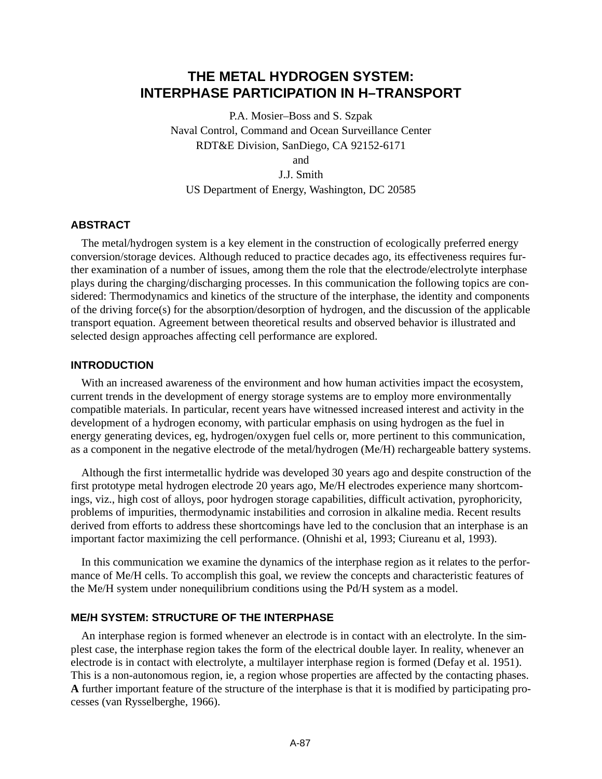## **THE METAL HYDROGEN SYSTEM: INTERPHASE PARTICIPATION IN H–TRANSPORT**

P.A. Mosier–Boss and S. Szpak Naval Control, Command and Ocean Surveillance Center RDT&E Division, SanDiego, CA 92152-6171

and J.J. Smith

US Department of Energy, Washington, DC 20585

## **ABSTRACT**

The metal/hydrogen system is a key element in the construction of ecologically preferred energy conversion/storage devices. Although reduced to practice decades ago, its effectiveness requires further examination of a number of issues, among them the role that the electrode/electrolyte interphase plays during the charging/discharging processes. In this communication the following topics are considered: Thermodynamics and kinetics of the structure of the interphase, the identity and components of the driving force(s) for the absorption/desorption of hydrogen, and the discussion of the applicable transport equation. Agreement between theoretical results and observed behavior is illustrated and selected design approaches affecting cell performance are explored.

## **INTRODUCTION**

With an increased awareness of the environment and how human activities impact the ecosystem, current trends in the development of energy storage systems are to employ more environmentally compatible materials. In particular, recent years have witnessed increased interest and activity in the development of a hydrogen economy, with particular emphasis on using hydrogen as the fuel in energy generating devices, eg, hydrogen/oxygen fuel cells or, more pertinent to this communication, as a component in the negative electrode of the metal/hydrogen (Me/H) rechargeable battery systems.

Although the first intermetallic hydride was developed 30 years ago and despite construction of the first prototype metal hydrogen electrode 20 years ago, Me/H electrodes experience many shortcomings, viz., high cost of alloys, poor hydrogen storage capabilities, difficult activation, pyrophoricity, problems of impurities, thermodynamic instabilities and corrosion in alkaline media. Recent results derived from efforts to address these shortcomings have led to the conclusion that an interphase is an important factor maximizing the cell performance. (Ohnishi et al, 1993; Ciureanu et al, 1993).

In this communication we examine the dynamics of the interphase region as it relates to the performance of Me/H cells. To accomplish this goal, we review the concepts and characteristic features of the Me/H system under nonequilibrium conditions using the Pd/H system as a model.

## **ME/H SYSTEM: STRUCTURE OF THE INTERPHASE**

An interphase region is formed whenever an electrode is in contact with an electrolyte. In the simplest case, the interphase region takes the form of the electrical double layer. In reality, whenever an electrode is in contact with electrolyte, a multilayer interphase region is formed (Defay et al. 1951). This is a non-autonomous region, ie, a region whose properties are affected by the contacting phases. **A** further important feature of the structure of the interphase is that it is modified by participating processes (van Rysselberghe, 1966).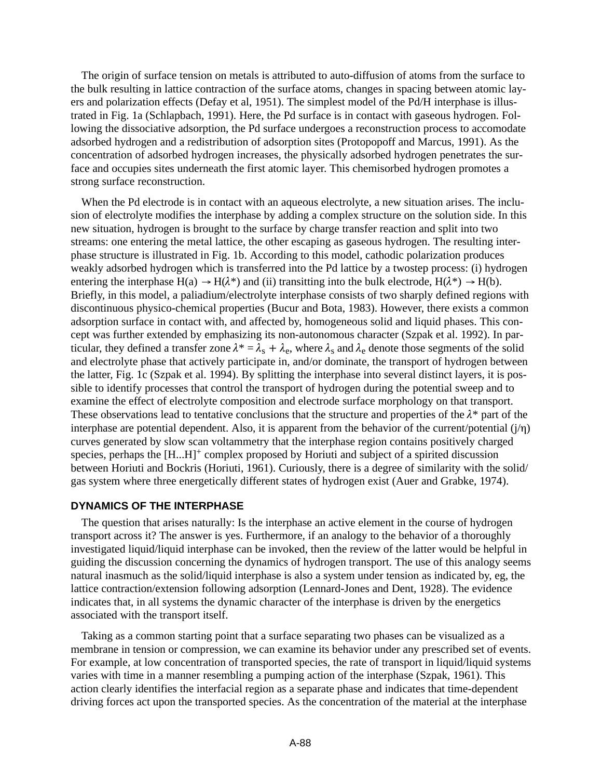The origin of surface tension on metals is attributed to auto-diffusion of atoms from the surface to the bulk resulting in lattice contraction of the surface atoms, changes in spacing between atomic layers and polarization effects (Defay et al, 1951). The simplest model of the Pd/H interphase is illustrated in Fig. 1a (Schlapbach, 1991). Here, the Pd surface is in contact with gaseous hydrogen. Following the dissociative adsorption, the Pd surface undergoes a reconstruction process to accomodate adsorbed hydrogen and a redistribution of adsorption sites (Protopopoff and Marcus, 1991). As the concentration of adsorbed hydrogen increases, the physically adsorbed hydrogen penetrates the surface and occupies sites underneath the first atomic layer. This chemisorbed hydrogen promotes a strong surface reconstruction.

When the Pd electrode is in contact with an aqueous electrolyte, a new situation arises. The inclusion of electrolyte modifies the interphase by adding a complex structure on the solution side. In this new situation, hydrogen is brought to the surface by charge transfer reaction and split into two streams: one entering the metal lattice, the other escaping as gaseous hydrogen. The resulting interphase structure is illustrated in Fig. 1b. According to this model, cathodic polarization produces weakly adsorbed hydrogen which is transferred into the Pd lattice by a twostep process: (i) hydrogen entering the interphase H(a)  $\rightarrow$  H( $\lambda^*$ ) and (ii) transitting into the bulk electrode, H( $\lambda^*$ )  $\rightarrow$  H(b). Briefly, in this model, a paliadium/electrolyte interphase consists of two sharply defined regions with discontinuous physico-chemical properties (Bucur and Bota, 1983). However, there exists a common adsorption surface in contact with, and affected by, homogeneous solid and liquid phases. This concept was further extended by emphasizing its non-autonomous character (Szpak et al. 1992). In particular, they defined a transfer zone  $\lambda^* = \lambda_s + \lambda_e$ , where  $\lambda_s$  and  $\lambda_e$  denote those segments of the solid and electrolyte phase that actively participate in, and/or dominate, the transport of hydrogen between the latter, Fig. 1c (Szpak et al. 1994). By splitting the interphase into several distinct layers, it is possible to identify processes that control the transport of hydrogen during the potential sweep and to examine the effect of electrolyte composition and electrode surface morphology on that transport. These observations lead to tentative conclusions that the structure and properties of the  $\lambda^*$  part of the interphase are potential dependent. Also, it is apparent from the behavior of the current/potential  $(j/n)$ curves generated by slow scan voltammetry that the interphase region contains positively charged species, perhaps the  $[H...H]^+$  complex proposed by Horiuti and subject of a spirited discussion between Horiuti and Bockris (Horiuti, 1961). Curiously, there is a degree of similarity with the solid/ gas system where three energetically different states of hydrogen exist (Auer and Grabke, 1974).

#### **DYNAMICS OF THE INTERPHASE**

The question that arises naturally: Is the interphase an active element in the course of hydrogen transport across it? The answer is yes. Furthermore, if an analogy to the behavior of a thoroughly investigated liquid/liquid interphase can be invoked, then the review of the latter would be helpful in guiding the discussion concerning the dynamics of hydrogen transport. The use of this analogy seems natural inasmuch as the solid/liquid interphase is also a system under tension as indicated by, eg, the lattice contraction/extension following adsorption (Lennard-Jones and Dent, 1928). The evidence indicates that, in all systems the dynamic character of the interphase is driven by the energetics associated with the transport itself.

Taking as a common starting point that a surface separating two phases can be visualized as a membrane in tension or compression, we can examine its behavior under any prescribed set of events. For example, at low concentration of transported species, the rate of transport in liquid/liquid systems varies with time in a manner resembling a pumping action of the interphase (Szpak, 1961). This action clearly identifies the interfacial region as a separate phase and indicates that time-dependent driving forces act upon the transported species. As the concentration of the material at the interphase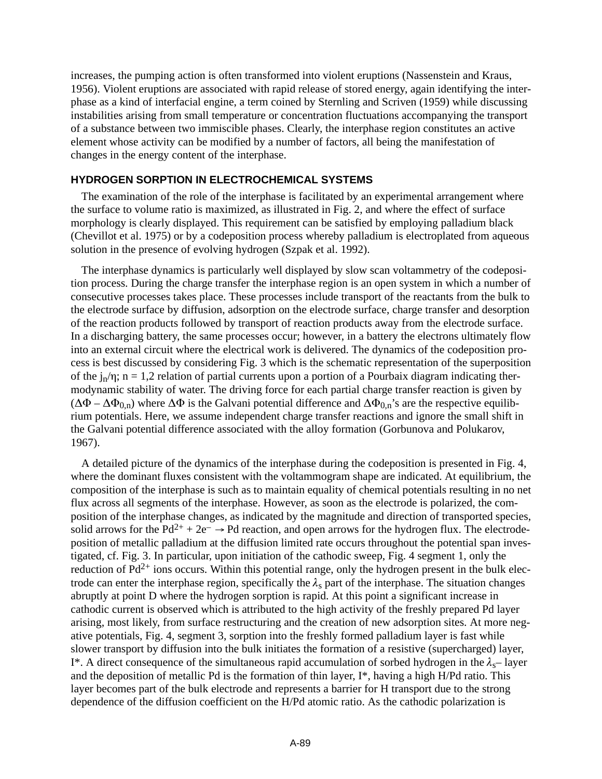increases, the pumping action is often transformed into violent eruptions (Nassenstein and Kraus, 1956). Violent eruptions are associated with rapid release of stored energy, again identifying the interphase as a kind of interfacial engine, a term coined by Sternling and Scriven (1959) while discussing instabilities arising from small temperature or concentration fluctuations accompanying the transport of a substance between two immiscible phases. Clearly, the interphase region constitutes an active element whose activity can be modified by a number of factors, all being the manifestation of changes in the energy content of the interphase.

#### **HYDROGEN SORPTION IN ELECTROCHEMICAL SYSTEMS**

The examination of the role of the interphase is facilitated by an experimental arrangement where the surface to volume ratio is maximized, as illustrated in Fig. 2, and where the effect of surface morphology is clearly displayed. This requirement can be satisfied by employing palladium black (Chevillot et al. 1975) or by a codeposition process whereby palladium is electroplated from aqueous solution in the presence of evolving hydrogen (Szpak et al. 1992).

The interphase dynamics is particularly well displayed by slow scan voltammetry of the codeposition process. During the charge transfer the interphase region is an open system in which a number of consecutive processes takes place. These processes include transport of the reactants from the bulk to the electrode surface by diffusion, adsorption on the electrode surface, charge transfer and desorption of the reaction products followed by transport of reaction products away from the electrode surface. In a discharging battery, the same processes occur; however, in a battery the electrons ultimately flow into an external circuit where the electrical work is delivered. The dynamics of the codeposition process is best discussed by considering Fig. 3 which is the schematic representation of the superposition of the  $j_n/\eta$ ; n = 1,2 relation of partial currents upon a portion of a Pourbaix diagram indicating thermodynamic stability of water. The driving force for each partial charge transfer reaction is given by  $(\Delta\Phi - \Delta\Phi_{0,n})$  where  $\Delta\Phi$  is the Galvani potential difference and  $\Delta\Phi_{0,n}$ 's are the respective equilibrium potentials. Here, we assume independent charge transfer reactions and ignore the small shift in the Galvani potential difference associated with the alloy formation (Gorbunova and Polukarov, 1967).

A detailed picture of the dynamics of the interphase during the codeposition is presented in Fig. 4, where the dominant fluxes consistent with the voltammogram shape are indicated. At equilibrium, the composition of the interphase is such as to maintain equality of chemical potentials resulting in no net flux across all segments of the interphase. However, as soon as the electrode is polarized, the composition of the interphase changes, as indicated by the magnitude and direction of transported species, solid arrows for the  $Pd^{2+} + 2e^- \rightarrow Pd$  reaction, and open arrows for the hydrogen flux. The electrodeposition of metallic palladium at the diffusion limited rate occurs throughout the potential span investigated, cf. Fig. 3. In particular, upon initiation of the cathodic sweep, Fig. 4 segment 1, only the reduction of  $Pd^{2+}$  ions occurs. Within this potential range, only the hydrogen present in the bulk electrode can enter the interphase region, specifically the  $\lambda_s$  part of the interphase. The situation changes abruptly at point D where the hydrogen sorption is rapid. At this point a significant increase in cathodic current is observed which is attributed to the high activity of the freshly prepared Pd layer arising, most likely, from surface restructuring and the creation of new adsorption sites. At more negative potentials, Fig. 4, segment 3, sorption into the freshly formed palladium layer is fast while slower transport by diffusion into the bulk initiates the formation of a resistive (supercharged) layer, I\*. A direct consequence of the simultaneous rapid accumulation of sorbed hydrogen in the  $\lambda_{s}$ – layer and the deposition of metallic Pd is the formation of thin layer, I\*, having a high H/Pd ratio. This layer becomes part of the bulk electrode and represents a barrier for H transport due to the strong dependence of the diffusion coefficient on the H/Pd atomic ratio. As the cathodic polarization is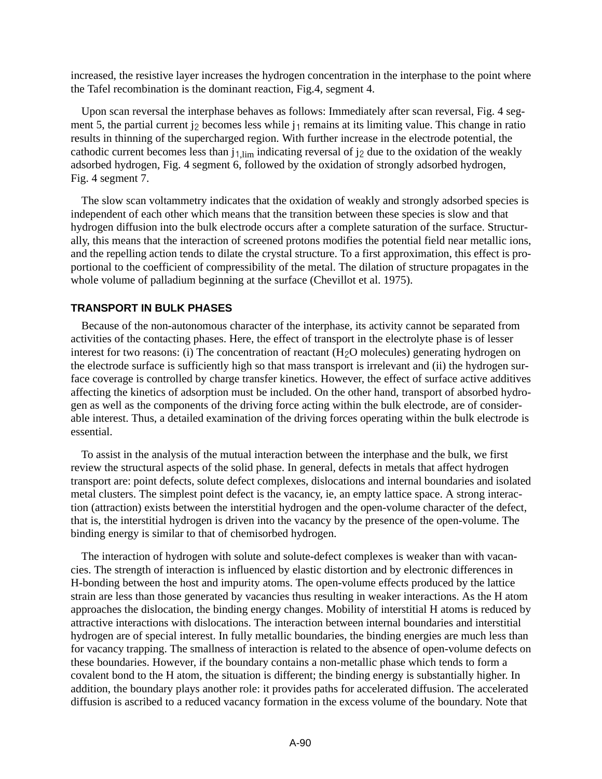increased, the resistive layer increases the hydrogen concentration in the interphase to the point where the Tafel recombination is the dominant reaction, Fig.4, segment 4.

Upon scan reversal the interphase behaves as follows: Immediately after scan reversal, Fig. 4 segment 5, the partial current  $j_2$  becomes less while  $j_1$  remains at its limiting value. This change in ratio results in thinning of the supercharged region. With further increase in the electrode potential, the cathodic current becomes less than  $j_{1,lim}$  indicating reversal of  $j_2$  due to the oxidation of the weakly adsorbed hydrogen, Fig. 4 segment 6, followed by the oxidation of strongly adsorbed hydrogen, Fig. 4 segment 7.

The slow scan voltammetry indicates that the oxidation of weakly and strongly adsorbed species is independent of each other which means that the transition between these species is slow and that hydrogen diffusion into the bulk electrode occurs after a complete saturation of the surface. Structurally, this means that the interaction of screened protons modifies the potential field near metallic ions, and the repelling action tends to dilate the crystal structure. To a first approximation, this effect is proportional to the coefficient of compressibility of the metal. The dilation of structure propagates in the whole volume of palladium beginning at the surface (Chevillot et al. 1975).

#### **TRANSPORT IN BULK PHASES**

Because of the non-autonomous character of the interphase, its activity cannot be separated from activities of the contacting phases. Here, the effect of transport in the electrolyte phase is of lesser interest for two reasons: (i) The concentration of reactant  $(H_2O)$  molecules) generating hydrogen on the electrode surface is sufficiently high so that mass transport is irrelevant and (ii) the hydrogen surface coverage is controlled by charge transfer kinetics. However, the effect of surface active additives affecting the kinetics of adsorption must be included. On the other hand, transport of absorbed hydrogen as well as the components of the driving force acting within the bulk electrode, are of considerable interest. Thus, a detailed examination of the driving forces operating within the bulk electrode is essential.

To assist in the analysis of the mutual interaction between the interphase and the bulk, we first review the structural aspects of the solid phase. In general, defects in metals that affect hydrogen transport are: point defects, solute defect complexes, dislocations and internal boundaries and isolated metal clusters. The simplest point defect is the vacancy, ie, an empty lattice space. A strong interaction (attraction) exists between the interstitial hydrogen and the open-volume character of the defect, that is, the interstitial hydrogen is driven into the vacancy by the presence of the open-volume. The binding energy is similar to that of chemisorbed hydrogen.

The interaction of hydrogen with solute and solute-defect complexes is weaker than with vacancies. The strength of interaction is influenced by elastic distortion and by electronic differences in H-bonding between the host and impurity atoms. The open-volume effects produced by the lattice strain are less than those generated by vacancies thus resulting in weaker interactions. As the H atom approaches the dislocation, the binding energy changes. Mobility of interstitial H atoms is reduced by attractive interactions with dislocations. The interaction between internal boundaries and interstitial hydrogen are of special interest. In fully metallic boundaries, the binding energies are much less than for vacancy trapping. The smallness of interaction is related to the absence of open-volume defects on these boundaries. However, if the boundary contains a non-metallic phase which tends to form a covalent bond to the H atom, the situation is different; the binding energy is substantially higher. In addition, the boundary plays another role: it provides paths for accelerated diffusion. The accelerated diffusion is ascribed to a reduced vacancy formation in the excess volume of the boundary. Note that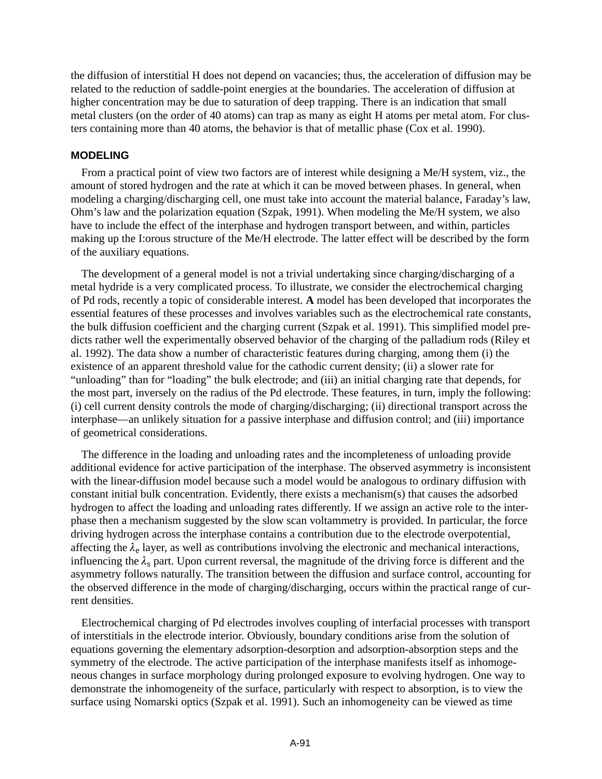the diffusion of interstitial H does not depend on vacancies; thus, the acceleration of diffusion may be related to the reduction of saddle-point energies at the boundaries. The acceleration of diffusion at higher concentration may be due to saturation of deep trapping. There is an indication that small metal clusters (on the order of 40 atoms) can trap as many as eight H atoms per metal atom. For clusters containing more than 40 atoms, the behavior is that of metallic phase (Cox et al. 1990).

#### **MODELING**

From a practical point of view two factors are of interest while designing a Me/H system, viz., the amount of stored hydrogen and the rate at which it can be moved between phases. In general, when modeling a charging/discharging cell, one must take into account the material balance, Faraday's law, Ohm's law and the polarization equation (Szpak, 1991). When modeling the Me/H system, we also have to include the effect of the interphase and hydrogen transport between, and within, particles making up the I:orous structure of the Me/H electrode. The latter effect will be described by the form of the auxiliary equations.

The development of a general model is not a trivial undertaking since charging/discharging of a metal hydride is a very complicated process. To illustrate, we consider the electrochemical charging of Pd rods, recently a topic of considerable interest. **A** model has been developed that incorporates the essential features of these processes and involves variables such as the electrochemical rate constants, the bulk diffusion coefficient and the charging current (Szpak et al. 1991). This simplified model predicts rather well the experimentally observed behavior of the charging of the palladium rods (Riley et al. 1992). The data show a number of characteristic features during charging, among them (i) the existence of an apparent threshold value for the cathodic current density; (ii) a slower rate for "unloading" than for "loading" the bulk electrode; and (iii) an initial charging rate that depends, for the most part, inversely on the radius of the Pd electrode. These features, in turn, imply the following: (i) cell current density controls the mode of charging/discharging; (ii) directional transport across the interphase—an unlikely situation for a passive interphase and diffusion control; and (iii) importance of geometrical considerations.

The difference in the loading and unloading rates and the incompleteness of unloading provide additional evidence for active participation of the interphase. The observed asymmetry is inconsistent with the linear-diffusion model because such a model would be analogous to ordinary diffusion with constant initial bulk concentration. Evidently, there exists a mechanism(s) that causes the adsorbed hydrogen to affect the loading and unloading rates differently. If we assign an active role to the interphase then a mechanism suggested by the slow scan voltammetry is provided. In particular, the force driving hydrogen across the interphase contains a contribution due to the electrode overpotential, affecting the  $\lambda_e$  layer, as well as contributions involving the electronic and mechanical interactions, influencing the  $\lambda_s$  part. Upon current reversal, the magnitude of the driving force is different and the asymmetry follows naturally. The transition between the diffusion and surface control, accounting for the observed difference in the mode of charging/discharging, occurs within the practical range of current densities.

Electrochemical charging of Pd electrodes involves coupling of interfacial processes with transport of interstitials in the electrode interior. Obviously, boundary conditions arise from the solution of equations governing the elementary adsorption-desorption and adsorption-absorption steps and the symmetry of the electrode. The active participation of the interphase manifests itself as inhomogeneous changes in surface morphology during prolonged exposure to evolving hydrogen. One way to demonstrate the inhomogeneity of the surface, particularly with respect to absorption, is to view the surface using Nomarski optics (Szpak et al. 1991). Such an inhomogeneity can be viewed as time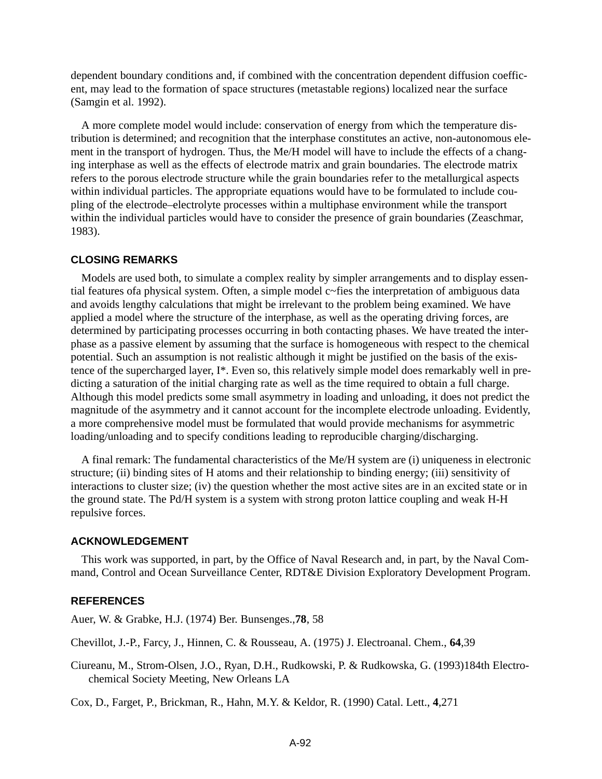dependent boundary conditions and, if combined with the concentration dependent diffusion coefficent, may lead to the formation of space structures (metastable regions) localized near the surface (Samgin et al. 1992).

A more complete model would include: conservation of energy from which the temperature distribution is determined; and recognition that the interphase constitutes an active, non-autonomous element in the transport of hydrogen. Thus, the Me/H model will have to include the effects of a changing interphase as well as the effects of electrode matrix and grain boundaries. The electrode matrix refers to the porous electrode structure while the grain boundaries refer to the metallurgical aspects within individual particles. The appropriate equations would have to be formulated to include coupling of the electrode–electrolyte processes within a multiphase environment while the transport within the individual particles would have to consider the presence of grain boundaries (Zeaschmar, 1983).

#### **CLOSING REMARKS**

Models are used both, to simulate a complex reality by simpler arrangements and to display essential features ofa physical system. Often, a simple model c~fies the interpretation of ambiguous data and avoids lengthy calculations that might be irrelevant to the problem being examined. We have applied a model where the structure of the interphase, as well as the operating driving forces, are determined by participating processes occurring in both contacting phases. We have treated the interphase as a passive element by assuming that the surface is homogeneous with respect to the chemical potential. Such an assumption is not realistic although it might be justified on the basis of the existence of the supercharged layer, I\*. Even so, this relatively simple model does remarkably well in predicting a saturation of the initial charging rate as well as the time required to obtain a full charge. Although this model predicts some small asymmetry in loading and unloading, it does not predict the magnitude of the asymmetry and it cannot account for the incomplete electrode unloading. Evidently, a more comprehensive model must be formulated that would provide mechanisms for asymmetric loading/unloading and to specify conditions leading to reproducible charging/discharging.

A final remark: The fundamental characteristics of the Me/H system are (i) uniqueness in electronic structure; (ii) binding sites of H atoms and their relationship to binding energy; (iii) sensitivity of interactions to cluster size; (iv) the question whether the most active sites are in an excited state or in the ground state. The Pd/H system is a system with strong proton lattice coupling and weak H-H repulsive forces.

#### **ACKNOWLEDGEMENT**

This work was supported, in part, by the Office of Naval Research and, in part, by the Naval Command, Control and Ocean Surveillance Center, RDT&E Division Exploratory Development Program.

#### **REFERENCES**

Auer, W. & Grabke, H.J. (1974) Ber. Bunsenges.,**78**, 58

Chevillot, J.-P., Farcy, J., Hinnen, C. & Rousseau, A. (1975) J. Electroanal. Chem., **64**,39

Ciureanu, M., Strom-Olsen, J.O., Ryan, D.H., Rudkowski, P. & Rudkowska, G. (1993)184th Electrochemical Society Meeting, New Orleans LA

Cox, D., Farget, P., Brickman, R., Hahn, M.Y. & Keldor, R. (1990) Catal. Lett., **4**,271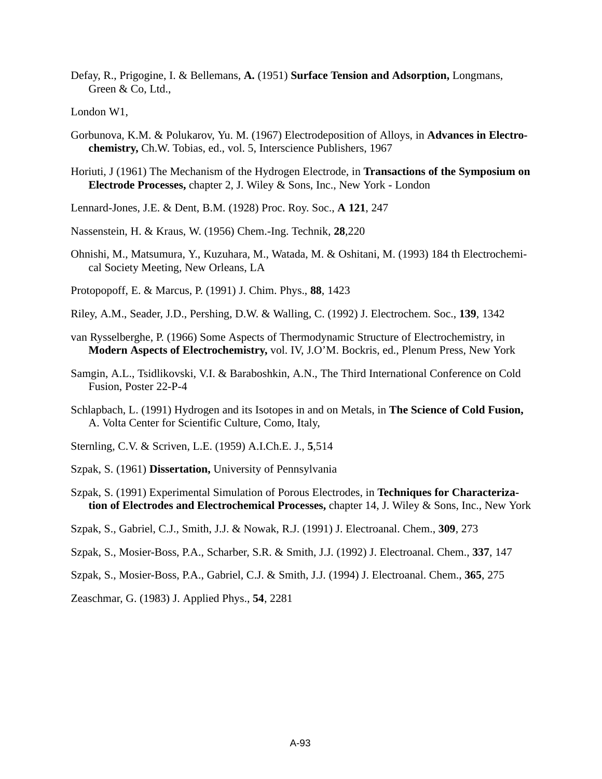Defay, R., Prigogine, I. & Bellemans, **A.** (1951) **Surface Tension and Adsorption,** Longmans, Green & Co, Ltd.,

London W1,

- Gorbunova, K.M. & Polukarov, Yu. M. (1967) Electrodeposition of Alloys, in **Advances in Electrochemistry,** Ch.W. Tobias, ed., vol. 5, Interscience Publishers, 1967
- Horiuti, J (1961) The Mechanism of the Hydrogen Electrode, in **Transactions of the Symposium on Electrode Processes,** chapter 2, J. Wiley & Sons, Inc., New York - London
- Lennard-Jones, J.E. & Dent, B.M. (1928) Proc. Roy. Soc., **A 121**, 247
- Nassenstein, H. & Kraus, W. (1956) Chem.-Ing. Technik, **28**,220
- Ohnishi, M., Matsumura, Y., Kuzuhara, M., Watada, M. & Oshitani, M. (1993) 184 th Electrochemical Society Meeting, New Orleans, LA
- Protopopoff, E. & Marcus, P. (1991) J. Chim. Phys., **88**, 1423
- Riley, A.M., Seader, J.D., Pershing, D.W. & Walling, C. (1992) J. Electrochem. Soc., **139**, 1342
- van Rysselberghe, P. (1966) Some Aspects of Thermodynamic Structure of Electrochemistry, in **Modern Aspects of Electrochemistry,** vol. IV, J.O'M. Bockris, ed., Plenum Press, New York
- Samgin, A.L., Tsidlikovski, V.I. & Baraboshkin, A.N., The Third International Conference on Cold Fusion, Poster 22-P-4
- Schlapbach, L. (1991) Hydrogen and its Isotopes in and on Metals, in **The Science of Cold Fusion,** A. Volta Center for Scientific Culture, Como, Italy,
- Sternling, C.V. & Scriven, L.E. (1959) A.I.Ch.E. J., **5**,514
- Szpak, S. (1961) **Dissertation,** University of Pennsylvania
- Szpak, S. (1991) Experimental Simulation of Porous Electrodes, in **Techniques for Characterization of Electrodes and Electrochemical Processes,** chapter 14, J. Wiley & Sons, Inc., New York
- Szpak, S., Gabriel, C.J., Smith, J.J. & Nowak, R.J. (1991) J. Electroanal. Chem., **309**, 273
- Szpak, S., Mosier-Boss, P.A., Scharber, S.R. & Smith, J.J. (1992) J. Electroanal. Chem., **337**, 147
- Szpak, S., Mosier-Boss, P.A., Gabriel, C.J. & Smith, J.J. (1994) J. Electroanal. Chem., **365**, 275

Zeaschmar, G. (1983) J. Applied Phys., **54**, 2281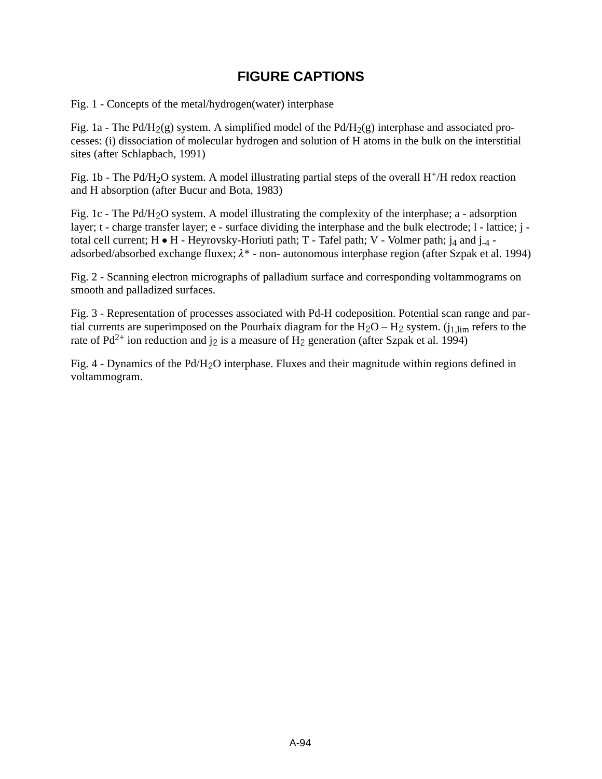# **FIGURE CAPTIONS**

Fig. 1 - Concepts of the metal/hydrogen(water) interphase

Fig. 1a - The Pd/H<sub>2</sub>(g) system. A simplified model of the Pd/H<sub>2</sub>(g) interphase and associated processes: (i) dissociation of molecular hydrogen and solution of H atoms in the bulk on the interstitial sites (after Schlapbach, 1991)

Fig. 1b - The Pd/H<sub>2</sub>O system. A model illustrating partial steps of the overall H<sup>+</sup>/H redox reaction and H absorption (after Bucur and Bota, 1983)

Fig. 1c - The Pd/H<sub>2</sub>O system. A model illustrating the complexity of the interphase; a - adsorption layer; t - charge transfer layer; e - surface dividing the interphase and the bulk electrode; l - lattice; j total cell current; H • H - Heyrovsky-Horiuti path; T - Tafel path; V - Volmer path; j<sub>4</sub> and j<sub>-4</sub> adsorbed/absorbed exchange fluxex;  $\lambda^*$  - non- autonomous interphase region (after Szpak et al. 1994)

Fig. 2 - Scanning electron micrographs of palladium surface and corresponding voltammograms on smooth and palladized surfaces.

Fig. 3 - Representation of processes associated with Pd-H codeposition. Potential scan range and partial currents are superimposed on the Pourbaix diagram for the  $H_2O - H_2$  system. (j<sub>1,lim</sub> refers to the rate of Pd<sup>2+</sup> ion reduction and  $j_2$  is a measure of H<sub>2</sub> generation (after Szpak et al. 1994)

Fig. 4 - Dynamics of the Pd/H<sub>2</sub>O interphase. Fluxes and their magnitude within regions defined in voltammogram.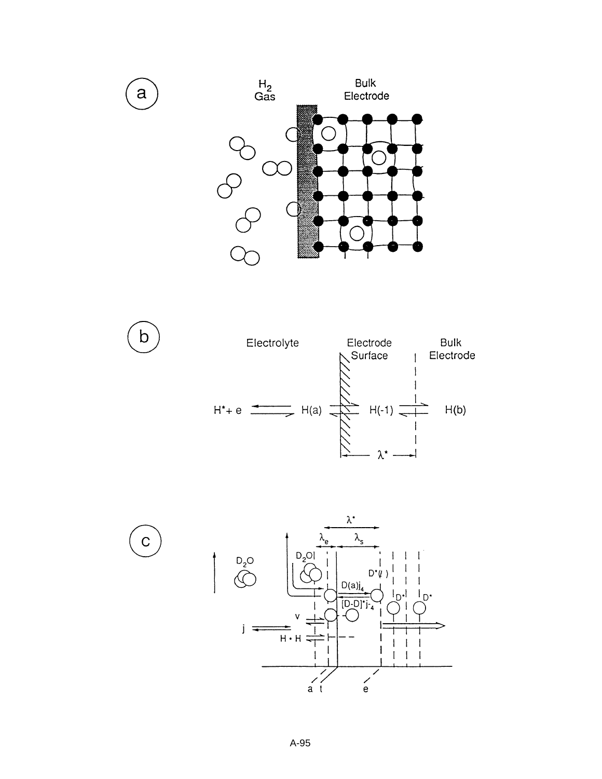

 $\mathsf b$ 



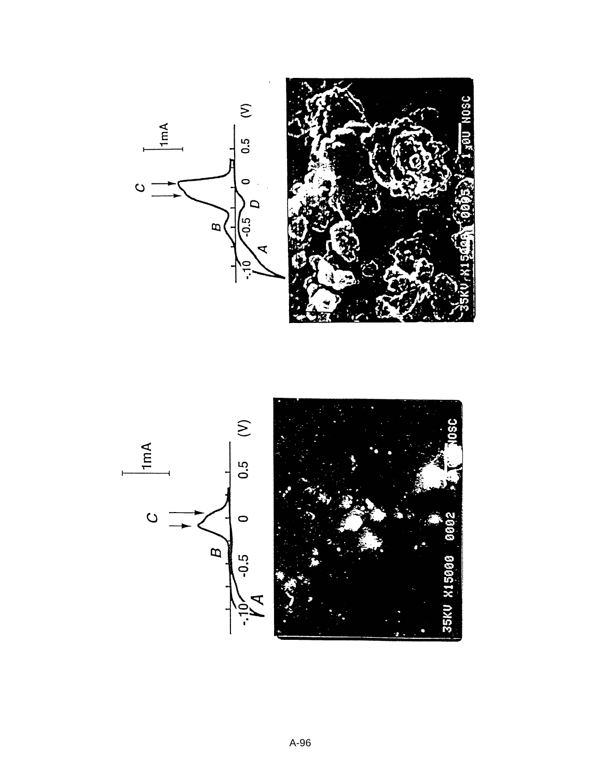

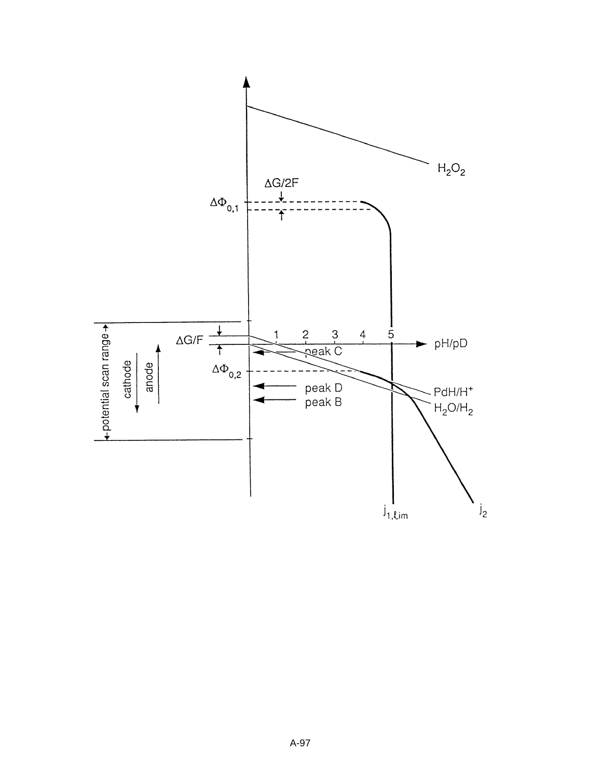